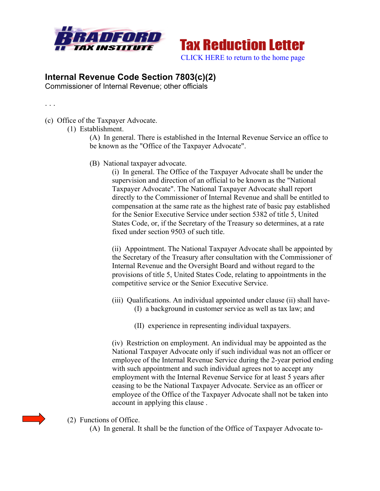



## **Internal Revenue Code Section 7803(c)(2)**

Commissioner of Internal Revenue; other officials

. . .

- (c) Office of the Taxpayer Advocate.
	- (1) Establishment.

(A) In general. There is established in the Internal Revenue Service an office to be known as the "Office of the Taxpayer Advocate".

(B) National taxpayer advocate.

(i) In general. The Office of the Taxpayer Advocate shall be under the supervision and direction of an official to be known as the "National Taxpayer Advocate". The National Taxpayer Advocate shall report directly to the Commissioner of Internal Revenue and shall be entitled to compensation at the same rate as the highest rate of basic pay established for the Senior Executive Service under section 5382 of title 5, United States Code, or, if the Secretary of the Treasury so determines, at a rate fixed under section 9503 of such title.

(ii) Appointment. The National Taxpayer Advocate shall be appointed by the Secretary of the Treasury after consultation with the Commissioner of Internal Revenue and the Oversight Board and without regard to the provisions of title 5, United States Code, relating to appointments in the competitive service or the Senior Executive Service.

- (iii) Qualifications. An individual appointed under clause (ii) shall have- (I) a background in customer service as well as tax law; and
	- (II) experience in representing individual taxpayers.

(iv) Restriction on employment. An individual may be appointed as the National Taxpayer Advocate only if such individual was not an officer or employee of the Internal Revenue Service during the 2-year period ending with such appointment and such individual agrees not to accept any employment with the Internal Revenue Service for at least 5 years after ceasing to be the National Taxpayer Advocate. Service as an officer or employee of the Office of the Taxpayer Advocate shall not be taken into account in applying this clause .

- (2) Functions of Office.
	- (A) In general. It shall be the function of the Office of Taxpayer Advocate to-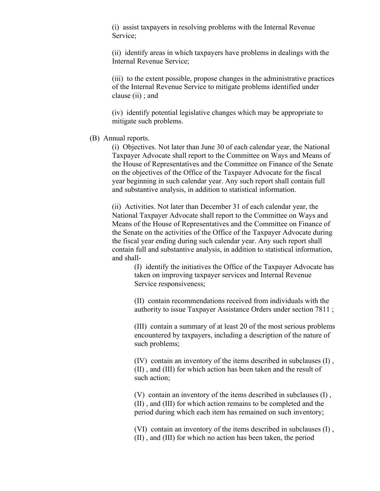(i) assist taxpayers in resolving problems with the Internal Revenue Service;

(ii) identify areas in which taxpayers have problems in dealings with the Internal Revenue Service;

(iii) to the extent possible, propose changes in the administrative practices of the Internal Revenue Service to mitigate problems identified under clause (ii) ; and

(iv) identify potential legislative changes which may be appropriate to mitigate such problems.

## (B) Annual reports.

(i) Objectives. Not later than June 30 of each calendar year, the National Taxpayer Advocate shall report to the Committee on Ways and Means of the House of Representatives and the Committee on Finance of the Senate on the objectives of the Office of the Taxpayer Advocate for the fiscal year beginning in such calendar year. Any such report shall contain full and substantive analysis, in addition to statistical information.

(ii) Activities. Not later than December 31 of each calendar year, the National Taxpayer Advocate shall report to the Committee on Ways and Means of the House of Representatives and the Committee on Finance of the Senate on the activities of the Office of the Taxpayer Advocate during the fiscal year ending during such calendar year. Any such report shall contain full and substantive analysis, in addition to statistical information, and shall-

(I) identify the initiatives the Office of the Taxpayer Advocate has taken on improving taxpayer services and Internal Revenue Service responsiveness;

(II) contain recommendations received from individuals with the authority to issue Taxpayer Assistance Orders under section 7811 ;

(III) contain a summary of at least 20 of the most serious problems encountered by taxpayers, including a description of the nature of such problems;

(IV) contain an inventory of the items described in subclauses (I) , (II) , and (III) for which action has been taken and the result of such action;

(V) contain an inventory of the items described in subclauses (I) , (II) , and (III) for which action remains to be completed and the period during which each item has remained on such inventory;

(VI) contain an inventory of the items described in subclauses (I) , (II) , and (III) for which no action has been taken, the period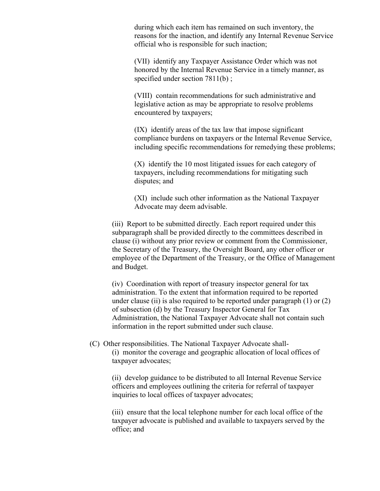during which each item has remained on such inventory, the reasons for the inaction, and identify any Internal Revenue Service official who is responsible for such inaction;

(VII) identify any Taxpayer Assistance Order which was not honored by the Internal Revenue Service in a timely manner, as specified under section 7811(b);

(VIII) contain recommendations for such administrative and legislative action as may be appropriate to resolve problems encountered by taxpayers;

(IX) identify areas of the tax law that impose significant compliance burdens on taxpayers or the Internal Revenue Service, including specific recommendations for remedying these problems;

(X) identify the 10 most litigated issues for each category of taxpayers, including recommendations for mitigating such disputes; and

(XI) include such other information as the National Taxpayer Advocate may deem advisable.

(iii) Report to be submitted directly. Each report required under this subparagraph shall be provided directly to the committees described in clause (i) without any prior review or comment from the Commissioner, the Secretary of the Treasury, the Oversight Board, any other officer or employee of the Department of the Treasury, or the Office of Management and Budget.

(iv) Coordination with report of treasury inspector general for tax administration. To the extent that information required to be reported under clause (ii) is also required to be reported under paragraph  $(1)$  or  $(2)$ of subsection (d) by the Treasury Inspector General for Tax Administration, the National Taxpayer Advocate shall not contain such information in the report submitted under such clause.

## (C) Other responsibilities. The National Taxpayer Advocate shall- (i) monitor the coverage and geographic allocation of local offices of taxpayer advocates;

(ii) develop guidance to be distributed to all Internal Revenue Service officers and employees outlining the criteria for referral of taxpayer inquiries to local offices of taxpayer advocates;

(iii) ensure that the local telephone number for each local office of the taxpayer advocate is published and available to taxpayers served by the office; and